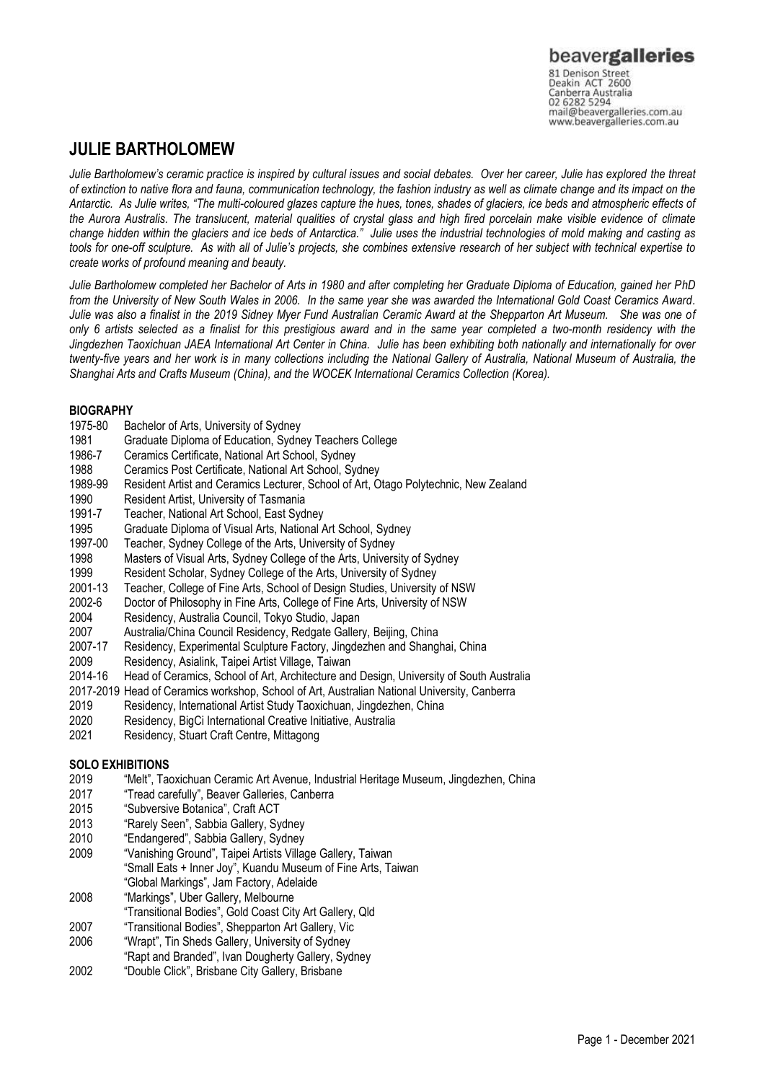mail@beavergalleries.com.au www.beavergalleries.com.au

## **JULIE BARTHOLOMEW**

*Julie Bartholomew's ceramic practice is inspired by cultural issues and social debates. Over her career, Julie has explored the threat of extinction to native flora and fauna, communication technology, the fashion industry as well as climate change and its impact on the Antarctic. As Julie writes, "The multi-coloured glazes capture the hues, tones, shades of glaciers, ice beds and atmospheric effects of the Aurora Australis. The translucent, material qualities of crystal glass and high fired porcelain make visible evidence of climate change hidden within the glaciers and ice beds of Antarctica." Julie uses the industrial technologies of mold making and casting as tools for one-off sculpture. As with all of Julie's projects, she combines extensive research of her subject with technical expertise to create works of profound meaning and beauty.* 

*Julie Bartholomew completed her Bachelor of Arts in 1980 and after completing her Graduate Diploma of Education, gained her PhD from the University of New South Wales in 2006. In the same year she was awarded the International Gold Coast Ceramics Award. Julie was also a finalist in the 2019 Sidney Myer Fund Australian Ceramic Award at the Shepparton Art Museum. She was one of only 6 artists selected as a finalist for this prestigious award and in the same year completed a two-month residency with the Jingdezhen Taoxichuan JAEA International Art Center in China. Julie has been exhibiting both nationally and internationally for over twenty-five years and her work is in many collections including the National Gallery of Australia, National Museum of Australia, the Shanghai Arts and Crafts Museum (China), and the WOCEK International Ceramics Collection (Korea).* 

### **BIOGRAPHY**

- 1975-80 Bachelor of Arts, University of Sydney
- 1981 Graduate Diploma of Education, Sydney Teachers College
- 1986-7 Ceramics Certificate, National Art School, Sydney<br>1988 Ceramics Post Certificate, National Art School, Sv
- 1988 Ceramics Post Certificate, National Art School, Sydney<br>1989-99 Resident Artist and Ceramics Lecturer, School of Art, C
- Resident Artist and Ceramics Lecturer, School of Art, Otago Polytechnic, New Zealand
- 1990 Resident Artist, University of Tasmania<br>1991-7 Teacher, National Art School, East Svd
- 1991-7 Teacher, National Art School, East Sydney<br>1995 Graduate Diploma of Visual Arts. National A
- 1995 Graduate Diploma of Visual Arts, National Art School, Sydney
- 1997-00 Teacher, Sydney College of the Arts, University of Sydney
- 1998 Masters of Visual Arts, Sydney College of the Arts, University of Sydney
- 1999 Resident Scholar, Sydney College of the Arts, University of Sydney
- 2001-13 Teacher, College of Fine Arts, School of Design Studies, University of NSW
- 2002-6 Doctor of Philosophy in Fine Arts, College of Fine Arts, University of NSW
- Residency, Australia Council, Tokyo Studio, Japan
- 2007 Australia/China Council Residency, Redgate Gallery, Beijing, China
- 2007-17 Residency, Experimental Sculpture Factory, Jingdezhen and Shanghai, China
- 2009 Residency, Asialink, Taipei Artist Village, Taiwan
- 2014-16 Head of Ceramics, School of Art, Architecture and Design, University of South Australia
- 2017-2019 Head of Ceramics workshop, School of Art, Australian National University, Canberra
- 2019 Residency, International Artist Study Taoxichuan, Jingdezhen, China
- 2020 Residency, BigCi International Creative Initiative, Australia
- 2021 Residency, Stuart Craft Centre, Mittagong

### **SOLO EXHIBITIONS**

- 2019 "Melt", Taoxichuan Ceramic Art Avenue, Industrial Heritage Museum, Jingdezhen, China
- 2017 "Tread carefully", Beaver Galleries, Canberra
- 2015 "Subversive Botanica", Craft ACT<br>
2013 "Rarely Seen", Sabbia Gallery, Sy
- "Rarely Seen", Sabbia Gallery, Sydney
- 2010 "Endangered", Sabbia Gallery, Sydney
- 2009 "Vanishing Ground", Taipei Artists Village Gallery, Taiwan
- "Small Eats + Inner Joy", Kuandu Museum of Fine Arts, Taiwan "Global Markings", Jam Factory, Adelaide
- 2008 "Markings", Uber Gallery, Melbourne
- "Transitional Bodies", Gold Coast City Art Gallery, Qld
- 2007 "Transitional Bodies", Shepparton Art Gallery, Vic
- 2006 "Wrapt", Tin Sheds Gallery, University of Sydney
- "Rapt and Branded", Ivan Dougherty Gallery, Sydney
- 2002 "Double Click", Brisbane City Gallery, Brisbane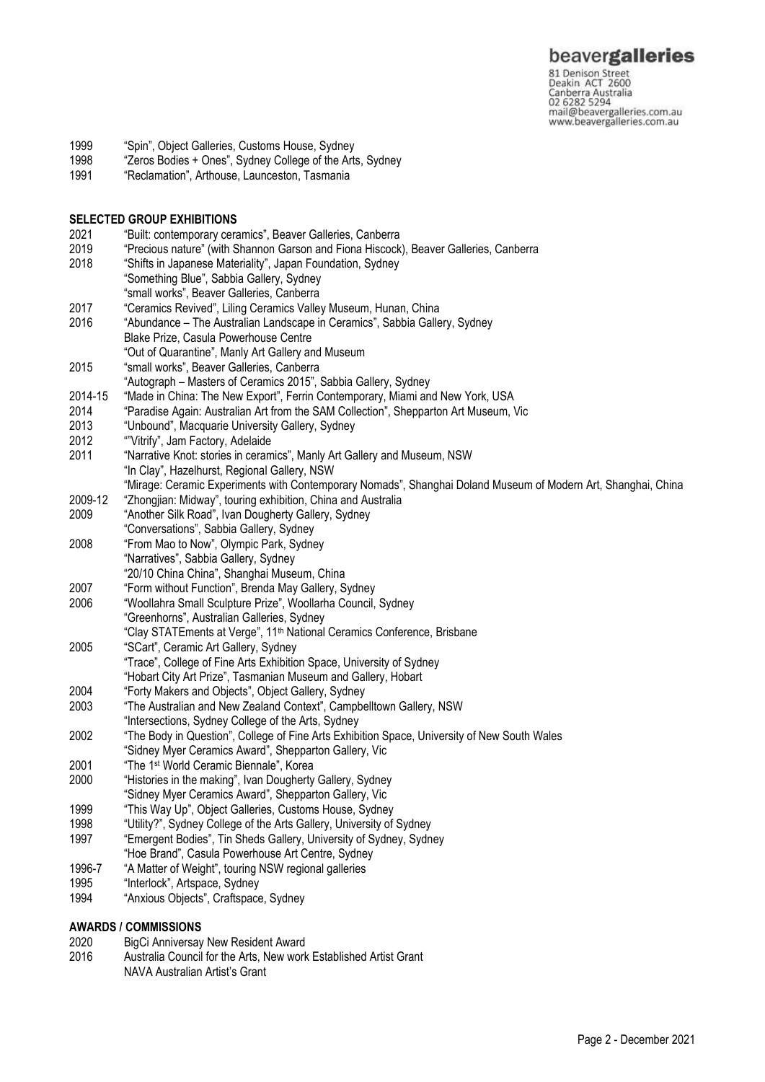81 Denison Street<br>Deakin ACT 2600 Canberra Australia mail@beavergalleries.com.au www.beavergalleries.com.au

- 1999 "Spin", Object Galleries, Customs House, Sydney<br>1998 "Zeros Bodies + Ones". Sydney College of the Arts
- "Zeros Bodies + Ones", Sydney College of the Arts, Sydney
- 1991 "Reclamation", Arthouse, Launceston, Tasmania

# **SELECTED GROUP EXHIBITIONS**<br>2021 **CALL EXAMPLE CONTEMPOTATY CETA**

- 2021 "Built: contemporary ceramics", Beaver Galleries, Canberra
- 2019 "Precious nature" (with Shannon Garson and Fiona Hiscock), Beaver Galleries, Canberra "Shifts in Japanese Materiality", Japan Foundation, Sydney
- "Something Blue", Sabbia Gallery, Sydney
- "small works", Beaver Galleries, Canberra
- 2017 "Ceramics Revived", Liling Ceramics Valley Museum, Hunan, China
- 2016 "Abundance The Australian Landscape in Ceramics", Sabbia Gallery, Sydney Blake Prize, Casula Powerhouse Centre
- "Out of Quarantine", Manly Art Gallery and Museum
- 2015 "small works", Beaver Galleries, Canberra
- "Autograph Masters of Ceramics 2015", Sabbia Gallery, Sydney
- 2014-15 "Made in China: The New Export", Ferrin Contemporary, Miami and New York, USA
- 2014 "Paradise Again: Australian Art from the SAM Collection", Shepparton Art Museum, Vic
- 2013 "Unbound", Macquarie University Gallery, Sydney
- 2012 <sup>""</sup>Vitrify", Jam Factory, Adelaide<br>2011 "Narrative Knot: stories in ceran
- "Narrative Knot: stories in ceramics", Manly Art Gallery and Museum, NSW "In Clay", Hazelhurst, Regional Gallery, NSW "Mirage: Ceramic Experiments with Contemporary Nomads", Shanghai Doland Museum of Modern Art, Shanghai, China
- 2009-12 "Zhongjian: Midway", touring exhibition, China and Australia
- 2009 "Another Silk Road", Ivan Dougherty Gallery, Sydney "Conversations", Sabbia Gallery, Sydney
- 2008 "From Mao to Now", Olympic Park, Sydney
- "Narratives", Sabbia Gallery, Sydney
- "20/10 China China", Shanghai Museum, China
- 2007 "Form without Function", Brenda May Gallery, Sydney<br>2006 "Woollahra Small Sculpture Prize" Woollarha Council
- 2006 "Woollahra Small Sculpture Prize", Woollarha Council, Sydney
- "Greenhorns", Australian Galleries, Sydney
- "Clay STATEments at Verge", 11th National Ceramics Conference, Brisbane
- 2005 "SCart", Ceramic Art Gallery, Sydney
- "Trace", College of Fine Arts Exhibition Space, University of Sydney
- "Hobart City Art Prize", Tasmanian Museum and Gallery, Hobart
- 2004 "Forty Makers and Objects", Object Gallery, Sydney
- 2003 "The Australian and New Zealand Context", Campbelltown Gallery, NSW
- "Intersections, Sydney College of the Arts, Sydney
- 2002 "The Body in Question", College of Fine Arts Exhibition Space, University of New South Wales "Sidney Myer Ceramics Award", Shepparton Gallery, Vic
- 2001 "The 1st World Ceramic Biennale", Korea
- 2000 "Histories in the making", Ivan Dougherty Gallery, Sydney "Sidney Myer Ceramics Award", Shepparton Gallery, Vic
- 1999 "This Way Up", Object Galleries, Customs House, Sydney
- 1998 "Utility?", Sydney College of the Arts Gallery, University of Sydney
- 1997 "Emergent Bodies", Tin Sheds Gallery, University of Sydney, Sydney
- "Hoe Brand", Casula Powerhouse Art Centre, Sydney
- 1996-7 "A Matter of Weight", touring NSW regional galleries
- 1995 "Interlock", Artspace, Sydney
- 1994 "Anxious Objects", Craftspace, Sydney

### **AWARDS / COMMISSIONS**

- 2020 BigCi Anniversay New Resident Award
- 2016 Australia Council for the Arts, New work Established Artist Grant
- NAVA Australian Artist's Grant